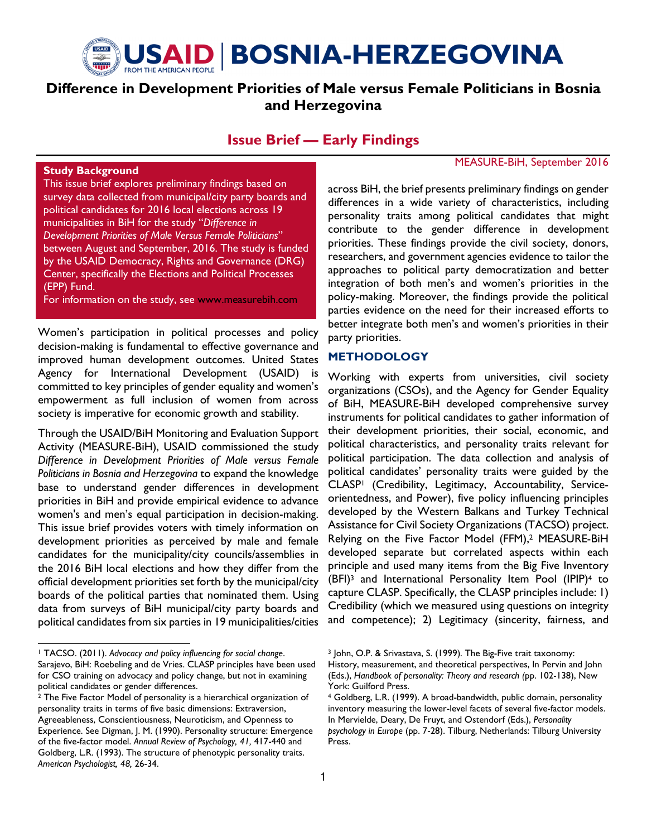

# Difference in Development Priorities of Male versus Female Politicians in Bosnia and Herzegovina

## Issue Brief — Early Findings

#### Study Background

This issue brief explores preliminary findings based on survey data collected from municipal/city party boards and political candidates for 2016 local elections across 19 municipalities in BiH for the study "Difference in Development Priorities of Male Versus Female Politicians" between August and September, 2016. The study is funded by the USAID Democracy, Rights and Governance (DRG) Center, specifically the Elections and Political Processes (EPP) Fund.

For information on the study, see www.measurebih.com

Women's participation in political processes and policy decision-making is fundamental to effective governance and improved human development outcomes. United States Agency for International Development (USAID) is committed to key principles of gender equality and women's empowerment as full inclusion of women from across society is imperative for economic growth and stability.

Through the USAID/BiH Monitoring and Evaluation Support Activity (MEASURE-BiH), USAID commissioned the study Difference in Development Priorities of Male versus Female Politicians in Bosnia and Herzegovina to expand the knowledge base to understand gender differences in development priorities in BiH and provide empirical evidence to advance women's and men's equal participation in decision-making. This issue brief provides voters with timely information on development priorities as perceived by male and female candidates for the municipality/city councils/assemblies in the 2016 BiH local elections and how they differ from the official development priorities set forth by the municipal/city boards of the political parties that nominated them. Using data from surveys of BiH municipal/city party boards and political candidates from six parties in 19 municipalities/cities

## MEASURE-BiH, September 2016

across BiH, the brief presents preliminary findings on gender differences in a wide variety of characteristics, including personality traits among political candidates that might contribute to the gender difference in development priorities. These findings provide the civil society, donors, researchers, and government agencies evidence to tailor the approaches to political party democratization and better integration of both men's and women's priorities in the policy-making. Moreover, the findings provide the political parties evidence on the need for their increased efforts to better integrate both men's and women's priorities in their party priorities.

#### METHODOLOGY

Working with experts from universities, civil society organizations (CSOs), and the Agency for Gender Equality of BiH, MEASURE-BiH developed comprehensive survey instruments for political candidates to gather information of their development priorities, their social, economic, and political characteristics, and personality traits relevant for political participation. The data collection and analysis of political candidates' personality traits were guided by the CLASP1 (Credibility, Legitimacy, Accountability, Serviceorientedness, and Power), five policy influencing principles developed by the Western Balkans and Turkey Technical Assistance for Civil Society Organizations (TACSO) project. Relying on the Five Factor Model (FFM),<sup>2</sup> MEASURE-BiH developed separate but correlated aspects within each principle and used many items from the Big Five Inventory (BFI)3 and International Personality Item Pool (IPIP)4 to capture CLASP. Specifically, the CLASP principles include: 1) Credibility (which we measured using questions on integrity and competence); 2) Legitimacy (sincerity, fairness, and

<sup>&</sup>lt;sup>1</sup> TACSO. (2011). Advocacy and policy influencing for social change. Sarajevo, BiH: Roebeling and de Vries. CLASP principles have been used for CSO training on advocacy and policy change, but not in examining political candidates or gender differences.

<sup>2</sup> The Five Factor Model of personality is a hierarchical organization of personality traits in terms of five basic dimensions: Extraversion, Agreeableness, Conscientiousness, Neuroticism, and Openness to Experience. See Digman, J. M. (1990). Personality structure: Emergence of the five-factor model. Annual Review of Psychology, 41, 417-440 and Goldberg, L.R. (1993). The structure of phenotypic personality traits. American Psychologist, 48, 26-34.

<sup>3</sup> John, O.P. & Srivastava, S. (1999). The Big-Five trait taxonomy: History, measurement, and theoretical perspectives, In Pervin and John (Eds.), Handbook of personality: Theory and research (pp. 102-138), New York: Guilford Press.

<sup>4</sup> Goldberg, L.R. (1999). A broad-bandwidth, public domain, personality inventory measuring the lower-level facets of several five-factor models. In Mervielde, Deary, De Fruyt, and Ostendorf (Eds.), Personality psychology in Europe (pp. 7-28). Tilburg, Netherlands: Tilburg University Press.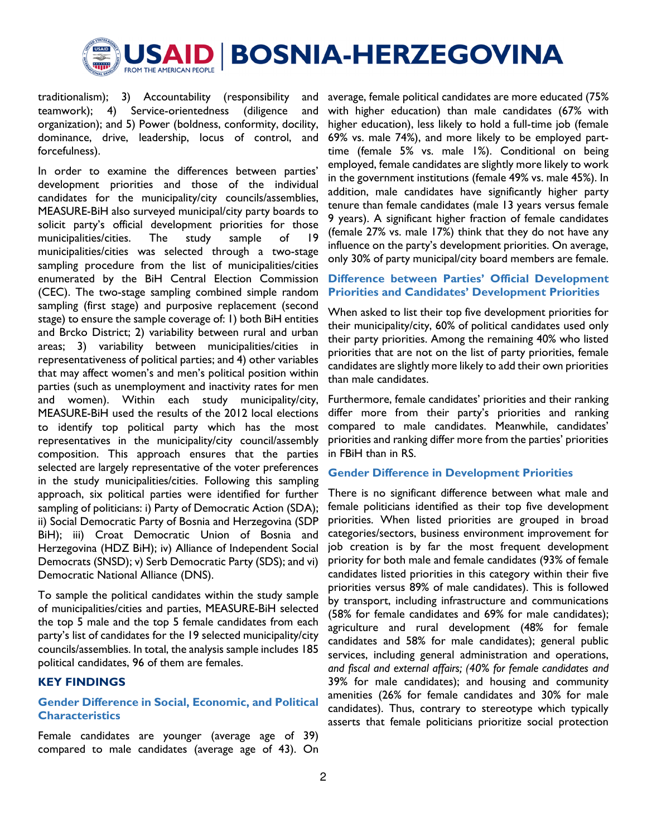

traditionalism); 3) Accountability (responsibility and teamwork); 4) Service-orientedness (diligence and organization); and 5) Power (boldness, conformity, docility, dominance, drive, leadership, locus of control, and forcefulness).

In order to examine the differences between parties' development priorities and those of the individual candidates for the municipality/city councils/assemblies, MEASURE-BiH also surveyed municipal/city party boards to solicit party's official development priorities for those municipalities/cities. The study sample of 19 municipalities/cities was selected through a two-stage sampling procedure from the list of municipalities/cities enumerated by the BiH Central Election Commission (CEC). The two-stage sampling combined simple random sampling (first stage) and purposive replacement (second stage) to ensure the sample coverage of: 1) both BiH entities and Brcko District; 2) variability between rural and urban areas; 3) variability between municipalities/cities in representativeness of political parties; and 4) other variables that may affect women's and men's political position within parties (such as unemployment and inactivity rates for men and women). Within each study municipality/city, MEASURE-BiH used the results of the 2012 local elections to identify top political party which has the most representatives in the municipality/city council/assembly composition. This approach ensures that the parties selected are largely representative of the voter preferences in the study municipalities/cities. Following this sampling approach, six political parties were identified for further sampling of politicians: i) Party of Democratic Action (SDA); ii) Social Democratic Party of Bosnia and Herzegovina (SDP BiH); iii) Croat Democratic Union of Bosnia and Herzegovina (HDZ BiH); iv) Alliance of Independent Social Democrats (SNSD); v) Serb Democratic Party (SDS); and vi) Democratic National Alliance (DNS).

To sample the political candidates within the study sample of municipalities/cities and parties, MEASURE-BiH selected the top 5 male and the top 5 female candidates from each party's list of candidates for the 19 selected municipality/city councils/assemblies. In total, the analysis sample includes 185 political candidates, 96 of them are females.

#### KEY FINDINGS

## Gender Difference in Social, Economic, and Political **Characteristics**

Female candidates are younger (average age of 39) compared to male candidates (average age of 43). On average, female political candidates are more educated (75% with higher education) than male candidates (67% with higher education), less likely to hold a full-time job (female 69% vs. male 74%), and more likely to be employed parttime (female 5% vs. male 1%). Conditional on being employed, female candidates are slightly more likely to work in the government institutions (female 49% vs. male 45%). In addition, male candidates have significantly higher party tenure than female candidates (male 13 years versus female 9 years). A significant higher fraction of female candidates (female 27% vs. male 17%) think that they do not have any influence on the party's development priorities. On average, only 30% of party municipal/city board members are female.

## Difference between Parties' Official Development Priorities and Candidates' Development Priorities

When asked to list their top five development priorities for their municipality/city, 60% of political candidates used only their party priorities. Among the remaining 40% who listed priorities that are not on the list of party priorities, female candidates are slightly more likely to add their own priorities than male candidates.

Furthermore, female candidates' priorities and their ranking differ more from their party's priorities and ranking compared to male candidates. Meanwhile, candidates' priorities and ranking differ more from the parties' priorities in FBiH than in RS.

#### Gender Difference in Development Priorities

There is no significant difference between what male and female politicians identified as their top five development priorities. When listed priorities are grouped in broad categories/sectors, business environment improvement for job creation is by far the most frequent development priority for both male and female candidates (93% of female candidates listed priorities in this category within their five priorities versus 89% of male candidates). This is followed by transport, including infrastructure and communications (58% for female candidates and 69% for male candidates); agriculture and rural development (48% for female candidates and 58% for male candidates); general public services, including general administration and operations, and fiscal and external affairs; (40% for female candidates and 39% for male candidates); and housing and community amenities (26% for female candidates and 30% for male candidates). Thus, contrary to stereotype which typically asserts that female politicians prioritize social protection